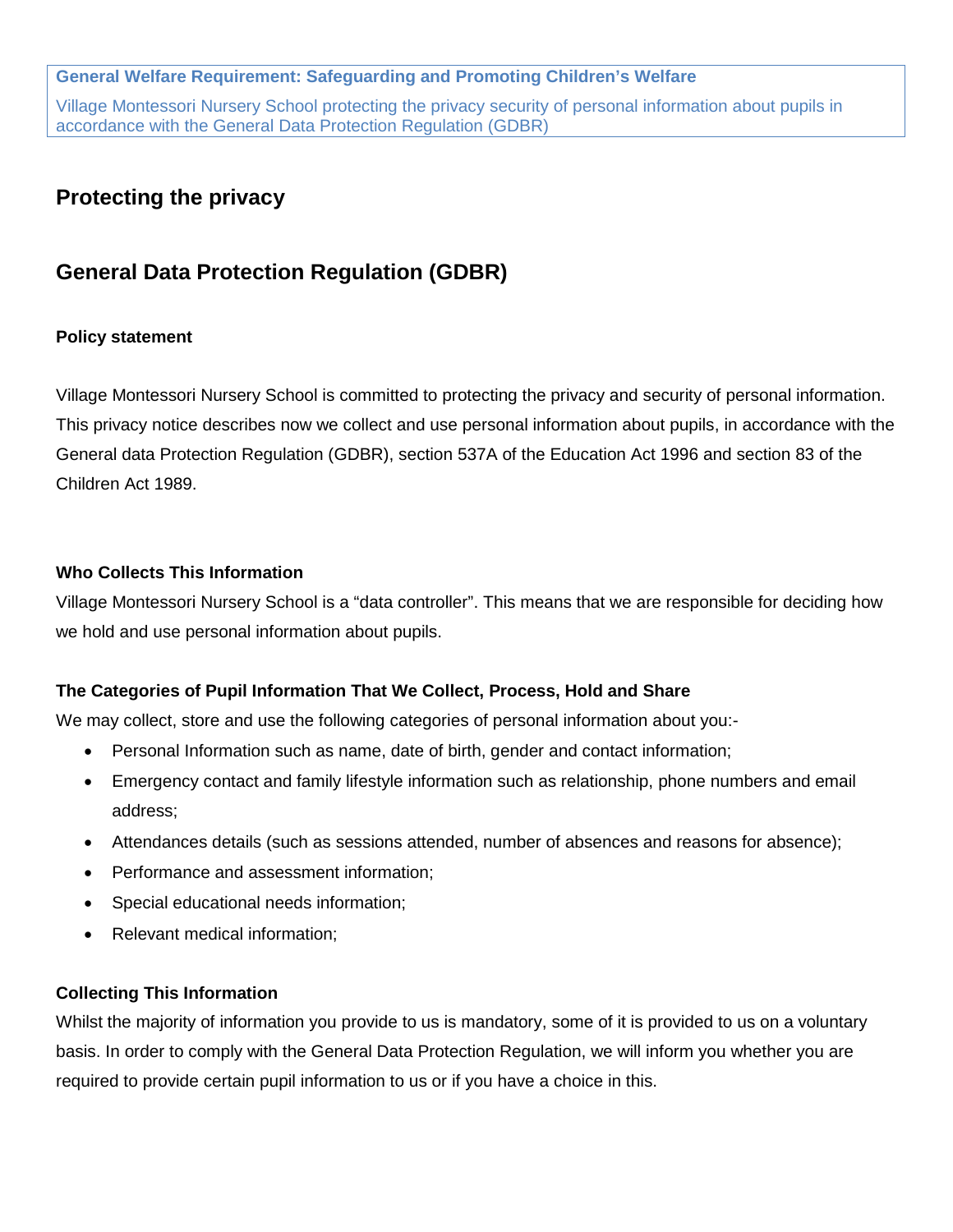### **General Welfare Requirement: Safeguarding and Promoting Children's Welfare**

Village Montessori Nursery School protecting the privacy security of personal information about pupils in accordance with the General Data Protection Regulation (GDBR)

## **Protecting the privacy**

# **General Data Protection Regulation (GDBR)**

### **Policy statement**

Village Montessori Nursery School is committed to protecting the privacy and security of personal information. This privacy notice describes now we collect and use personal information about pupils, in accordance with the General data Protection Regulation (GDBR), section 537A of the Education Act 1996 and section 83 of the Children Act 1989.

#### **Who Collects This Information**

Village Montessori Nursery School is a "data controller". This means that we are responsible for deciding how we hold and use personal information about pupils.

#### **The Categories of Pupil Information That We Collect, Process, Hold and Share**

We may collect, store and use the following categories of personal information about you:-

- Personal Information such as name, date of birth, gender and contact information;
- Emergency contact and family lifestyle information such as relationship, phone numbers and email address;
- Attendances details (such as sessions attended, number of absences and reasons for absence);
- Performance and assessment information;
- Special educational needs information;
- Relevant medical information;

#### **Collecting This Information**

Whilst the majority of information you provide to us is mandatory, some of it is provided to us on a voluntary basis. In order to comply with the General Data Protection Regulation, we will inform you whether you are required to provide certain pupil information to us or if you have a choice in this.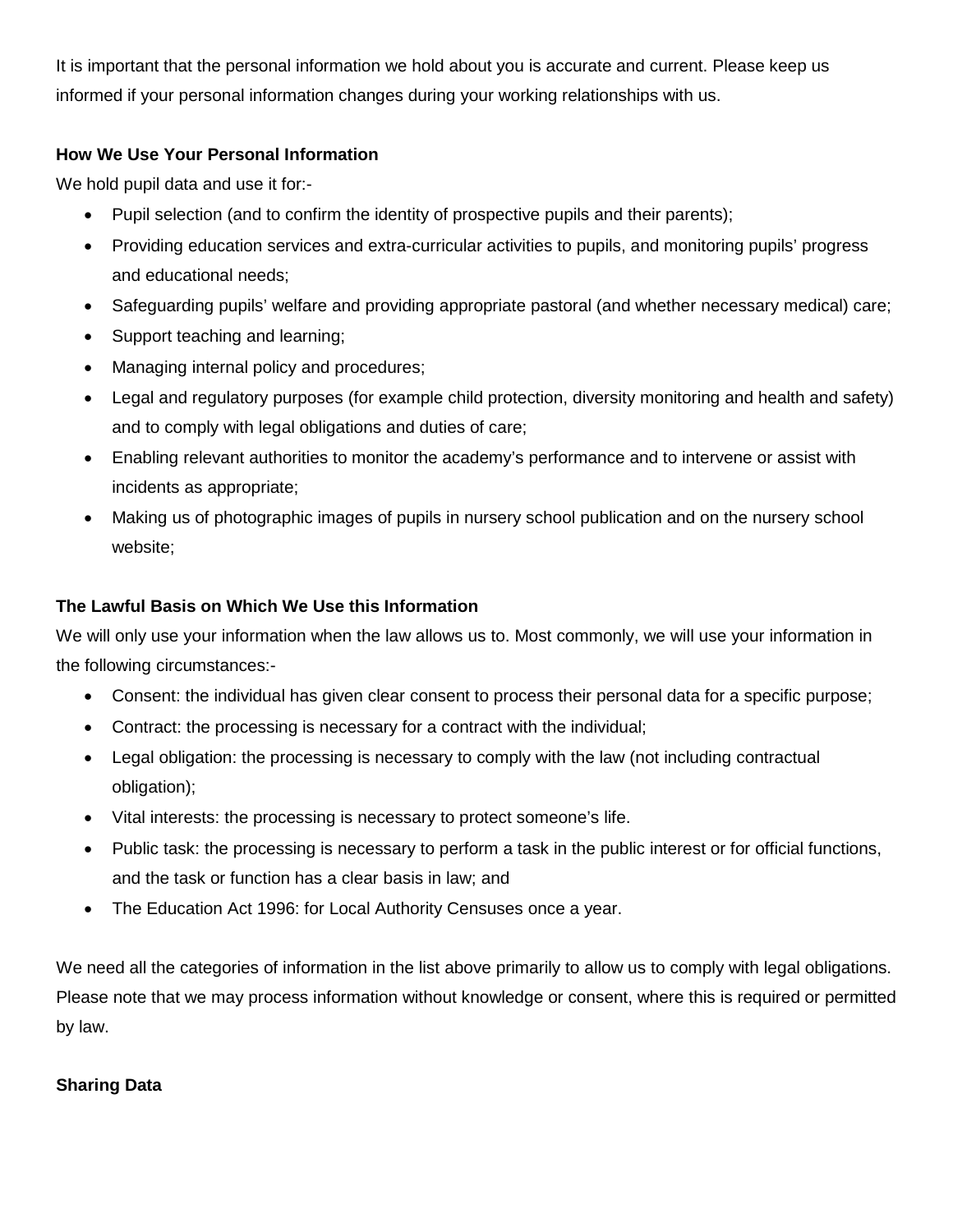It is important that the personal information we hold about you is accurate and current. Please keep us informed if your personal information changes during your working relationships with us.

## **How We Use Your Personal Information**

We hold pupil data and use it for:-

- Pupil selection (and to confirm the identity of prospective pupils and their parents);
- Providing education services and extra-curricular activities to pupils, and monitoring pupils' progress and educational needs;
- Safeguarding pupils' welfare and providing appropriate pastoral (and whether necessary medical) care;
- Support teaching and learning;
- Managing internal policy and procedures;
- Legal and regulatory purposes (for example child protection, diversity monitoring and health and safety) and to comply with legal obligations and duties of care;
- Enabling relevant authorities to monitor the academy's performance and to intervene or assist with incidents as appropriate;
- Making us of photographic images of pupils in nursery school publication and on the nursery school website;

## **The Lawful Basis on Which We Use this Information**

We will only use your information when the law allows us to. Most commonly, we will use your information in the following circumstances:-

- Consent: the individual has given clear consent to process their personal data for a specific purpose;
- Contract: the processing is necessary for a contract with the individual;
- Legal obligation: the processing is necessary to comply with the law (not including contractual obligation);
- Vital interests: the processing is necessary to protect someone's life.
- Public task: the processing is necessary to perform a task in the public interest or for official functions, and the task or function has a clear basis in law; and
- The Education Act 1996: for Local Authority Censuses once a year.

We need all the categories of information in the list above primarily to allow us to comply with legal obligations. Please note that we may process information without knowledge or consent, where this is required or permitted by law.

## **Sharing Data**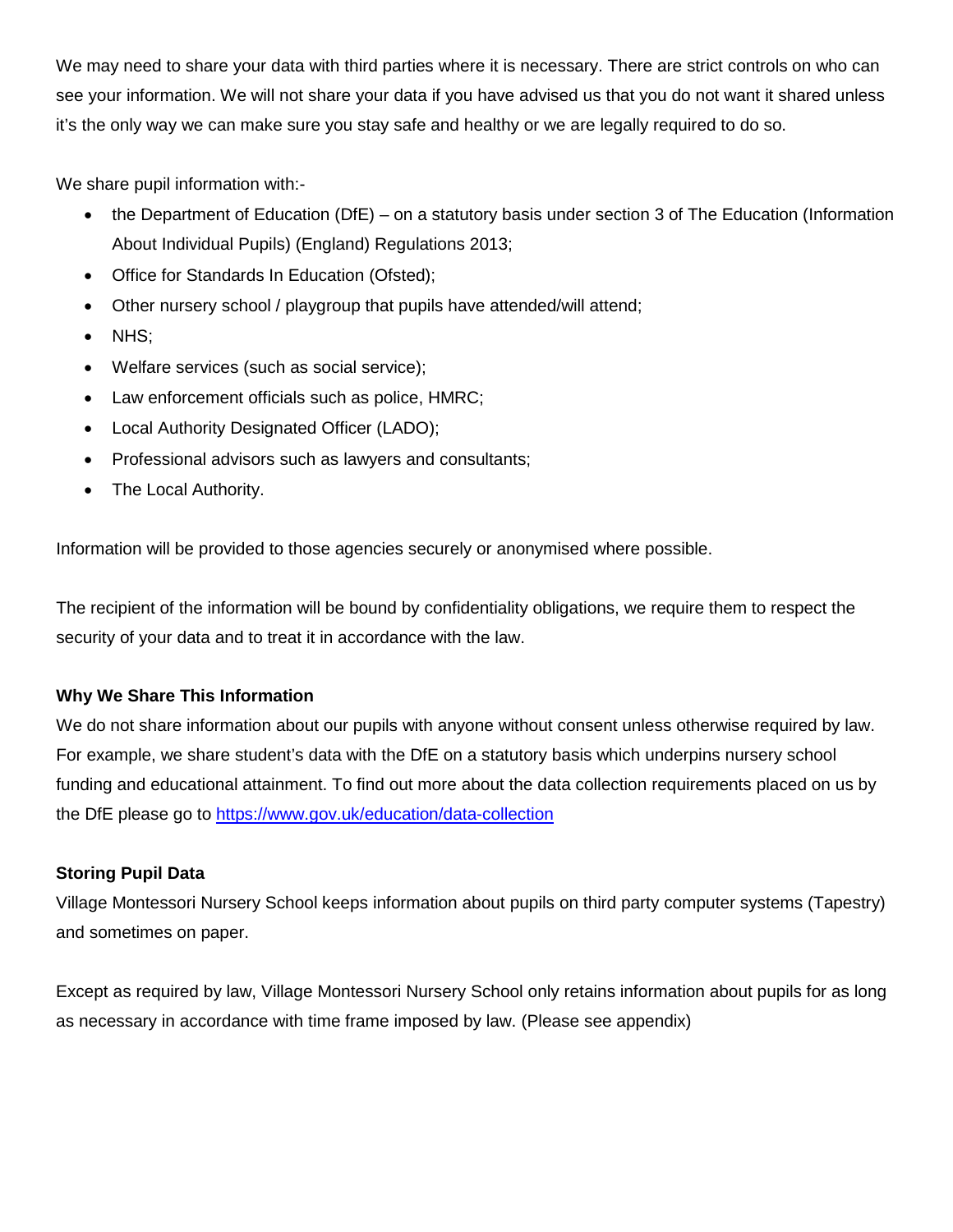We may need to share your data with third parties where it is necessary. There are strict controls on who can see your information. We will not share your data if you have advised us that you do not want it shared unless it's the only way we can make sure you stay safe and healthy or we are legally required to do so.

We share pupil information with:-

- the Department of Education (DfE) on a statutory basis under section 3 of The Education (Information About Individual Pupils) (England) Regulations 2013;
- Office for Standards In Education (Ofsted);
- Other nursery school / playgroup that pupils have attended/will attend;
- NHS;
- Welfare services (such as social service);
- Law enforcement officials such as police, HMRC;
- Local Authority Designated Officer (LADO);
- Professional advisors such as lawyers and consultants;
- The Local Authority.

Information will be provided to those agencies securely or anonymised where possible.

The recipient of the information will be bound by confidentiality obligations, we require them to respect the security of your data and to treat it in accordance with the law.

## **Why We Share This Information**

We do not share information about our pupils with anyone without consent unless otherwise required by law. For example, we share student's data with the DfE on a statutory basis which underpins nursery school funding and educational attainment. To find out more about the data collection requirements placed on us by the DfE please go to<https://www.gov.uk/education/data-collection>

## **Storing Pupil Data**

Village Montessori Nursery School keeps information about pupils on third party computer systems (Tapestry) and sometimes on paper.

Except as required by law, Village Montessori Nursery School only retains information about pupils for as long as necessary in accordance with time frame imposed by law. (Please see appendix)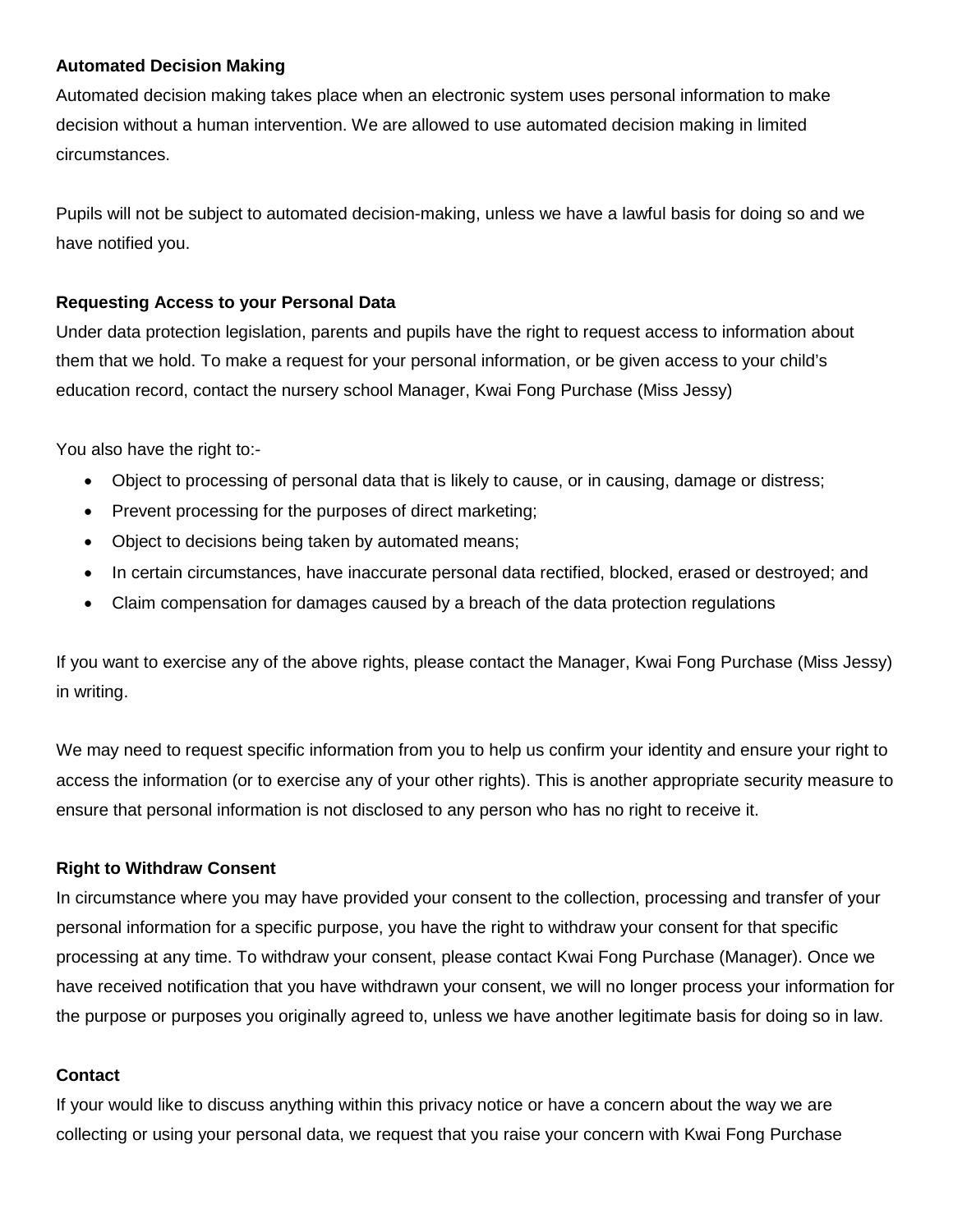#### **Automated Decision Making**

Automated decision making takes place when an electronic system uses personal information to make decision without a human intervention. We are allowed to use automated decision making in limited circumstances.

Pupils will not be subject to automated decision-making, unless we have a lawful basis for doing so and we have notified you.

#### **Requesting Access to your Personal Data**

Under data protection legislation, parents and pupils have the right to request access to information about them that we hold. To make a request for your personal information, or be given access to your child's education record, contact the nursery school Manager, Kwai Fong Purchase (Miss Jessy)

You also have the right to:-

- Object to processing of personal data that is likely to cause, or in causing, damage or distress;
- Prevent processing for the purposes of direct marketing;
- Object to decisions being taken by automated means;
- In certain circumstances, have inaccurate personal data rectified, blocked, erased or destroyed; and
- Claim compensation for damages caused by a breach of the data protection regulations

If you want to exercise any of the above rights, please contact the Manager, Kwai Fong Purchase (Miss Jessy) in writing.

We may need to request specific information from you to help us confirm your identity and ensure your right to access the information (or to exercise any of your other rights). This is another appropriate security measure to ensure that personal information is not disclosed to any person who has no right to receive it.

#### **Right to Withdraw Consent**

In circumstance where you may have provided your consent to the collection, processing and transfer of your personal information for a specific purpose, you have the right to withdraw your consent for that specific processing at any time. To withdraw your consent, please contact Kwai Fong Purchase (Manager). Once we have received notification that you have withdrawn your consent, we will no longer process your information for the purpose or purposes you originally agreed to, unless we have another legitimate basis for doing so in law.

#### **Contact**

If your would like to discuss anything within this privacy notice or have a concern about the way we are collecting or using your personal data, we request that you raise your concern with Kwai Fong Purchase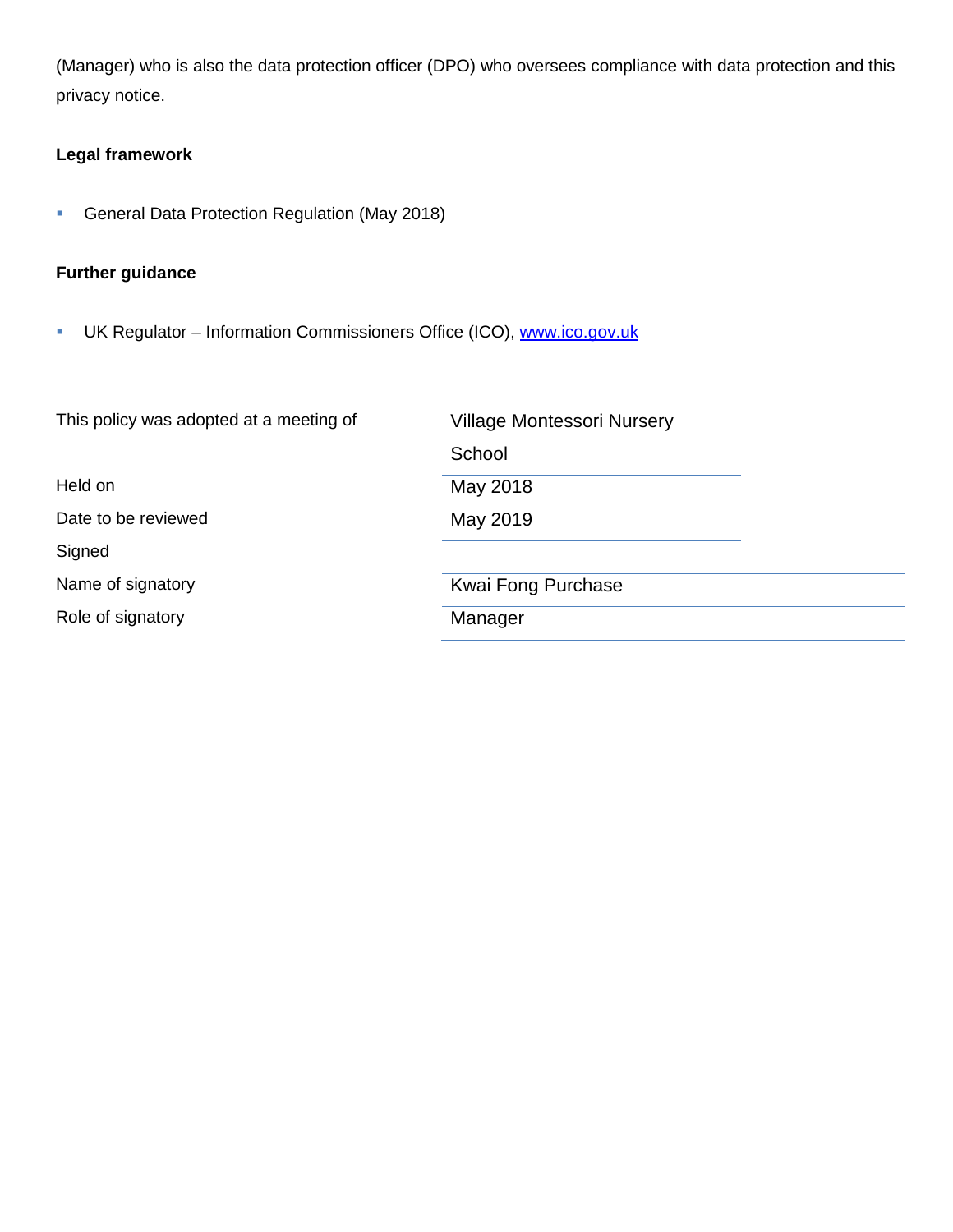(Manager) who is also the data protection officer (DPO) who oversees compliance with data protection and this privacy notice.

## **Legal framework**

**General Data Protection Regulation (May 2018)** 

## **Further guidance**

UK Regulator – Information Commissioners Office (ICO), [www.ico.gov.uk](http://www.ico.gov.uk/)

| This policy was adopted at a meeting of | <b>Village Montessori Nursery</b> |
|-----------------------------------------|-----------------------------------|
|                                         | School                            |
| Held on                                 | May 2018                          |
| Date to be reviewed                     | May 2019                          |
| Signed                                  |                                   |
| Name of signatory                       | Kwai Fong Purchase                |
| Role of signatory                       | Manager                           |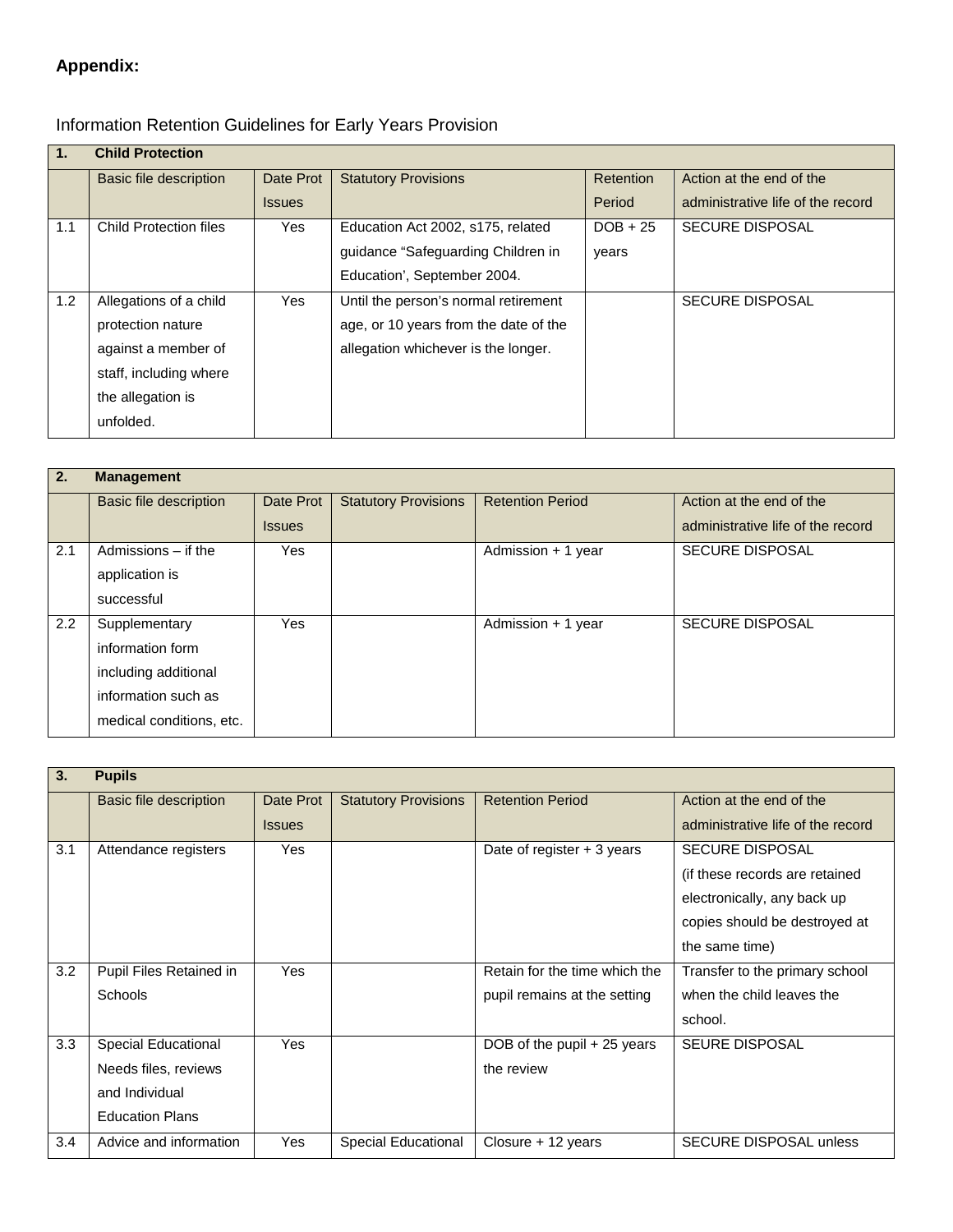# **Appendix:**

# Information Retention Guidelines for Early Years Provision

| 1.  | <b>Child Protection</b>       |               |                                       |            |                                   |
|-----|-------------------------------|---------------|---------------------------------------|------------|-----------------------------------|
|     | Basic file description        | Date Prot     | <b>Statutory Provisions</b>           | Retention  | Action at the end of the          |
|     |                               | <b>Issues</b> |                                       | Period     | administrative life of the record |
| 1.1 | <b>Child Protection files</b> | Yes           | Education Act 2002, s175, related     | $DOB + 25$ | <b>SECURE DISPOSAL</b>            |
|     |                               |               | guidance "Safeguarding Children in    | years      |                                   |
|     |                               |               | Education', September 2004.           |            |                                   |
| 1.2 | Allegations of a child        | Yes           | Until the person's normal retirement  |            | <b>SECURE DISPOSAL</b>            |
|     | protection nature             |               | age, or 10 years from the date of the |            |                                   |
|     | against a member of           |               | allegation whichever is the longer.   |            |                                   |
|     | staff, including where        |               |                                       |            |                                   |
|     | the allegation is             |               |                                       |            |                                   |
|     | unfolded.                     |               |                                       |            |                                   |

| 2.  | <b>Management</b>             |               |                             |                         |                                   |
|-----|-------------------------------|---------------|-----------------------------|-------------------------|-----------------------------------|
|     | <b>Basic file description</b> | Date Prot     | <b>Statutory Provisions</b> | <b>Retention Period</b> | Action at the end of the          |
|     |                               | <b>Issues</b> |                             |                         | administrative life of the record |
| 2.1 | Admissions $-$ if the         | Yes           |                             | Admission + 1 year      | <b>SECURE DISPOSAL</b>            |
|     | application is                |               |                             |                         |                                   |
|     | successful                    |               |                             |                         |                                   |
| 2.2 | Supplementary                 | Yes           |                             | Admission + 1 year      | <b>SECURE DISPOSAL</b>            |
|     | information form              |               |                             |                         |                                   |
|     | including additional          |               |                             |                         |                                   |
|     | information such as           |               |                             |                         |                                   |
|     | medical conditions, etc.      |               |                             |                         |                                   |

| 3.  | <b>Pupils</b>           |               |                             |                               |                                   |
|-----|-------------------------|---------------|-----------------------------|-------------------------------|-----------------------------------|
|     | Basic file description  | Date Prot     | <b>Statutory Provisions</b> | <b>Retention Period</b>       | Action at the end of the          |
|     |                         | <b>Issues</b> |                             |                               | administrative life of the record |
| 3.1 | Attendance registers    | Yes           |                             | Date of register $+3$ years   | <b>SECURE DISPOSAL</b>            |
|     |                         |               |                             |                               | (if these records are retained)   |
|     |                         |               |                             |                               | electronically, any back up       |
|     |                         |               |                             |                               | copies should be destroyed at     |
|     |                         |               |                             |                               | the same time)                    |
| 3.2 | Pupil Files Retained in | Yes           |                             | Retain for the time which the | Transfer to the primary school    |
|     | <b>Schools</b>          |               |                             | pupil remains at the setting  | when the child leaves the         |
|     |                         |               |                             |                               | school.                           |
| 3.3 | Special Educational     | Yes           |                             | DOB of the pupil + 25 years   | <b>SEURE DISPOSAL</b>             |
|     | Needs files, reviews    |               |                             | the review                    |                                   |
|     | and Individual          |               |                             |                               |                                   |
|     | <b>Education Plans</b>  |               |                             |                               |                                   |
| 3.4 | Advice and information  | Yes           | Special Educational         | Closure + 12 years            | <b>SECURE DISPOSAL unless</b>     |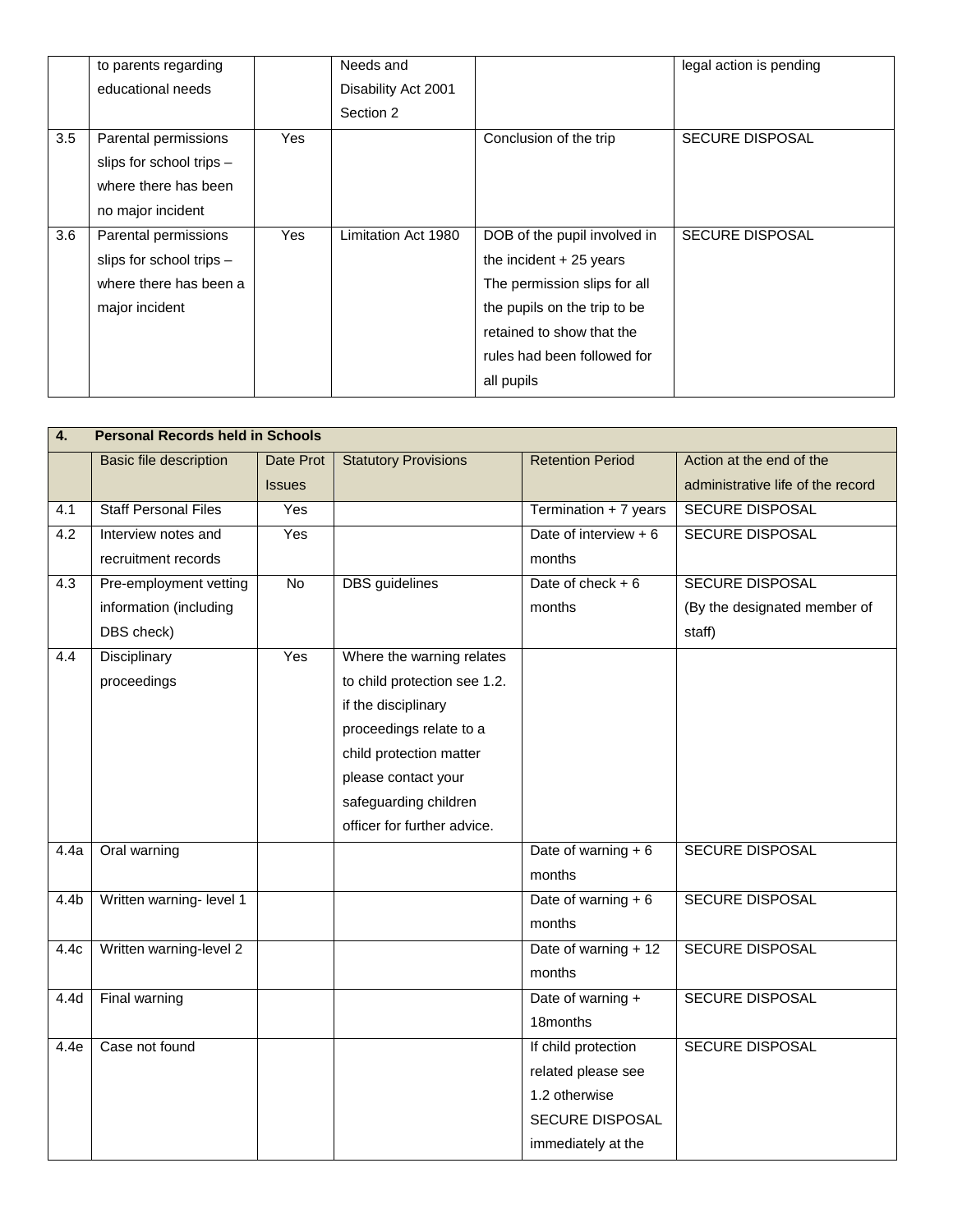|     | to parents regarding     |            | Needs and           |                              | legal action is pending |
|-----|--------------------------|------------|---------------------|------------------------------|-------------------------|
|     | educational needs        |            | Disability Act 2001 |                              |                         |
|     |                          |            | Section 2           |                              |                         |
| 3.5 | Parental permissions     | Yes        |                     | Conclusion of the trip       | <b>SECURE DISPOSAL</b>  |
|     | slips for school trips - |            |                     |                              |                         |
|     | where there has been     |            |                     |                              |                         |
|     | no major incident        |            |                     |                              |                         |
| 3.6 | Parental permissions     | <b>Yes</b> | Limitation Act 1980 | DOB of the pupil involved in | <b>SECURE DISPOSAL</b>  |
|     | slips for school trips - |            |                     | the incident $+25$ years     |                         |
|     | where there has been a   |            |                     | The permission slips for all |                         |
|     | major incident           |            |                     | the pupils on the trip to be |                         |
|     |                          |            |                     | retained to show that the    |                         |
|     |                          |            |                     | rules had been followed for  |                         |
|     |                          |            |                     | all pupils                   |                         |

| $\overline{4}$ . | <b>Personal Records held in Schools</b> |               |                              |                         |                                   |  |
|------------------|-----------------------------------------|---------------|------------------------------|-------------------------|-----------------------------------|--|
|                  | <b>Basic file description</b>           | Date Prot     | <b>Statutory Provisions</b>  | <b>Retention Period</b> | Action at the end of the          |  |
|                  |                                         | <b>Issues</b> |                              |                         | administrative life of the record |  |
| 4.1              | <b>Staff Personal Files</b>             | Yes           |                              | Termination + 7 years   | <b>SECURE DISPOSAL</b>            |  |
| 4.2              | Interview notes and                     | Yes           |                              | Date of interview $+6$  | <b>SECURE DISPOSAL</b>            |  |
|                  | recruitment records                     |               |                              | months                  |                                   |  |
| 4.3              | Pre-employment vetting                  | No            | <b>DBS</b> guidelines        | Date of check $+6$      | <b>SECURE DISPOSAL</b>            |  |
|                  | information (including                  |               |                              | months                  | (By the designated member of      |  |
|                  | DBS check)                              |               |                              |                         | staff)                            |  |
| 4.4              | Disciplinary                            | Yes           | Where the warning relates    |                         |                                   |  |
|                  | proceedings                             |               | to child protection see 1.2. |                         |                                   |  |
|                  |                                         |               | if the disciplinary          |                         |                                   |  |
|                  |                                         |               | proceedings relate to a      |                         |                                   |  |
|                  |                                         |               | child protection matter      |                         |                                   |  |
|                  |                                         |               | please contact your          |                         |                                   |  |
|                  |                                         |               | safeguarding children        |                         |                                   |  |
|                  |                                         |               | officer for further advice.  |                         |                                   |  |
| 4.4a             | Oral warning                            |               |                              | Date of warning $+ 6$   | <b>SECURE DISPOSAL</b>            |  |
|                  |                                         |               |                              | months                  |                                   |  |
| 4.4 <sub>b</sub> | Written warning- level 1                |               |                              | Date of warning $+6$    | <b>SECURE DISPOSAL</b>            |  |
|                  |                                         |               |                              | months                  |                                   |  |
| 4.4c             | Written warning-level 2                 |               |                              | Date of warning + 12    | SECURE DISPOSAL                   |  |
|                  |                                         |               |                              | months                  |                                   |  |
| 4.4 <sub>d</sub> | Final warning                           |               |                              | Date of warning +       | <b>SECURE DISPOSAL</b>            |  |
|                  |                                         |               |                              | 18months                |                                   |  |
| 4.4e             | Case not found                          |               |                              | If child protection     | SECURE DISPOSAL                   |  |
|                  |                                         |               |                              | related please see      |                                   |  |
|                  |                                         |               |                              | 1.2 otherwise           |                                   |  |
|                  |                                         |               |                              | SECURE DISPOSAL         |                                   |  |
|                  |                                         |               |                              | immediately at the      |                                   |  |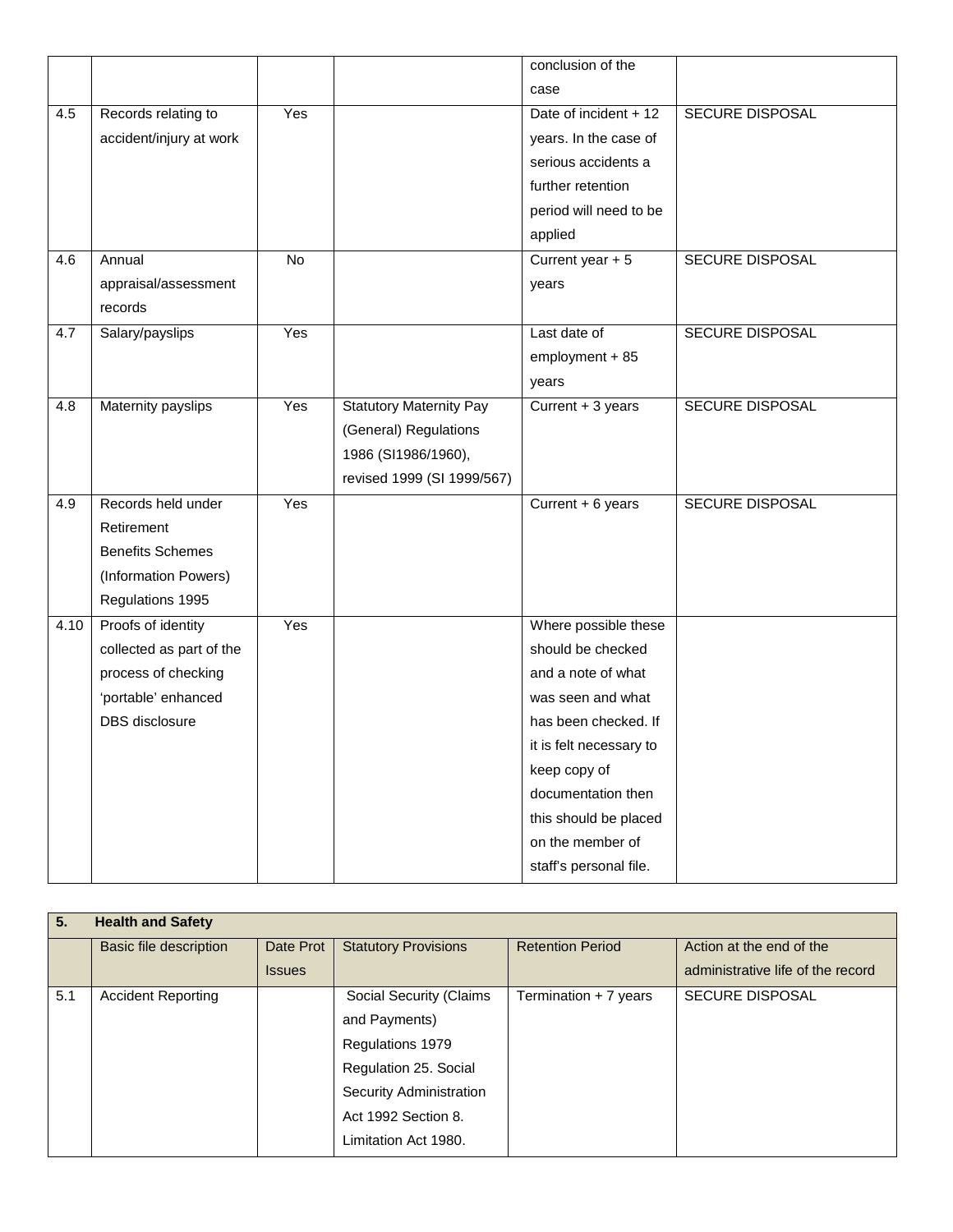|      |                          |     |                                | conclusion of the       |                        |
|------|--------------------------|-----|--------------------------------|-------------------------|------------------------|
|      |                          |     |                                | case                    |                        |
| 4.5  | Records relating to      | Yes |                                | Date of incident + 12   | SECURE DISPOSAL        |
|      | accident/injury at work  |     |                                | years. In the case of   |                        |
|      |                          |     |                                | serious accidents a     |                        |
|      |                          |     |                                | further retention       |                        |
|      |                          |     |                                | period will need to be  |                        |
|      |                          |     |                                | applied                 |                        |
| 4.6  | Annual                   | No  |                                | Current year + 5        | SECURE DISPOSAL        |
|      | appraisal/assessment     |     |                                | years                   |                        |
|      | records                  |     |                                |                         |                        |
| 4.7  | Salary/payslips          | Yes |                                | Last date of            | <b>SECURE DISPOSAL</b> |
|      |                          |     |                                | employment + 85         |                        |
|      |                          |     |                                | years                   |                        |
| 4.8  | Maternity payslips       | Yes | <b>Statutory Maternity Pay</b> | Current + 3 years       | SECURE DISPOSAL        |
|      |                          |     | (General) Regulations          |                         |                        |
|      |                          |     | 1986 (SI1986/1960),            |                         |                        |
|      |                          |     | revised 1999 (SI 1999/567)     |                         |                        |
| 4.9  | Records held under       | Yes |                                | Current + 6 years       | <b>SECURE DISPOSAL</b> |
|      | Retirement               |     |                                |                         |                        |
|      | <b>Benefits Schemes</b>  |     |                                |                         |                        |
|      | (Information Powers)     |     |                                |                         |                        |
|      | Regulations 1995         |     |                                |                         |                        |
| 4.10 | Proofs of identity       | Yes |                                | Where possible these    |                        |
|      | collected as part of the |     |                                | should be checked       |                        |
|      | process of checking      |     |                                | and a note of what      |                        |
|      | 'portable' enhanced      |     |                                | was seen and what       |                        |
|      | DBS disclosure           |     |                                | has been checked. If    |                        |
|      |                          |     |                                | it is felt necessary to |                        |
|      |                          |     |                                | keep copy of            |                        |
|      |                          |     |                                | documentation then      |                        |
|      |                          |     |                                | this should be placed   |                        |
|      |                          |     |                                | on the member of        |                        |
|      |                          |     |                                | staff's personal file.  |                        |

| 5.  | <b>Health and Safety</b>  |               |                                |                         |                                   |
|-----|---------------------------|---------------|--------------------------------|-------------------------|-----------------------------------|
|     | Basic file description    | Date Prot     | <b>Statutory Provisions</b>    | <b>Retention Period</b> | Action at the end of the          |
|     |                           | <b>Issues</b> |                                |                         | administrative life of the record |
| 5.1 | <b>Accident Reporting</b> |               | Social Security (Claims        | Termination + 7 years   | <b>SECURE DISPOSAL</b>            |
|     |                           |               | and Payments)                  |                         |                                   |
|     |                           |               | Regulations 1979               |                         |                                   |
|     |                           |               | Regulation 25. Social          |                         |                                   |
|     |                           |               | <b>Security Administration</b> |                         |                                   |
|     |                           |               | Act 1992 Section 8.            |                         |                                   |
|     |                           |               | Limitation Act 1980.           |                         |                                   |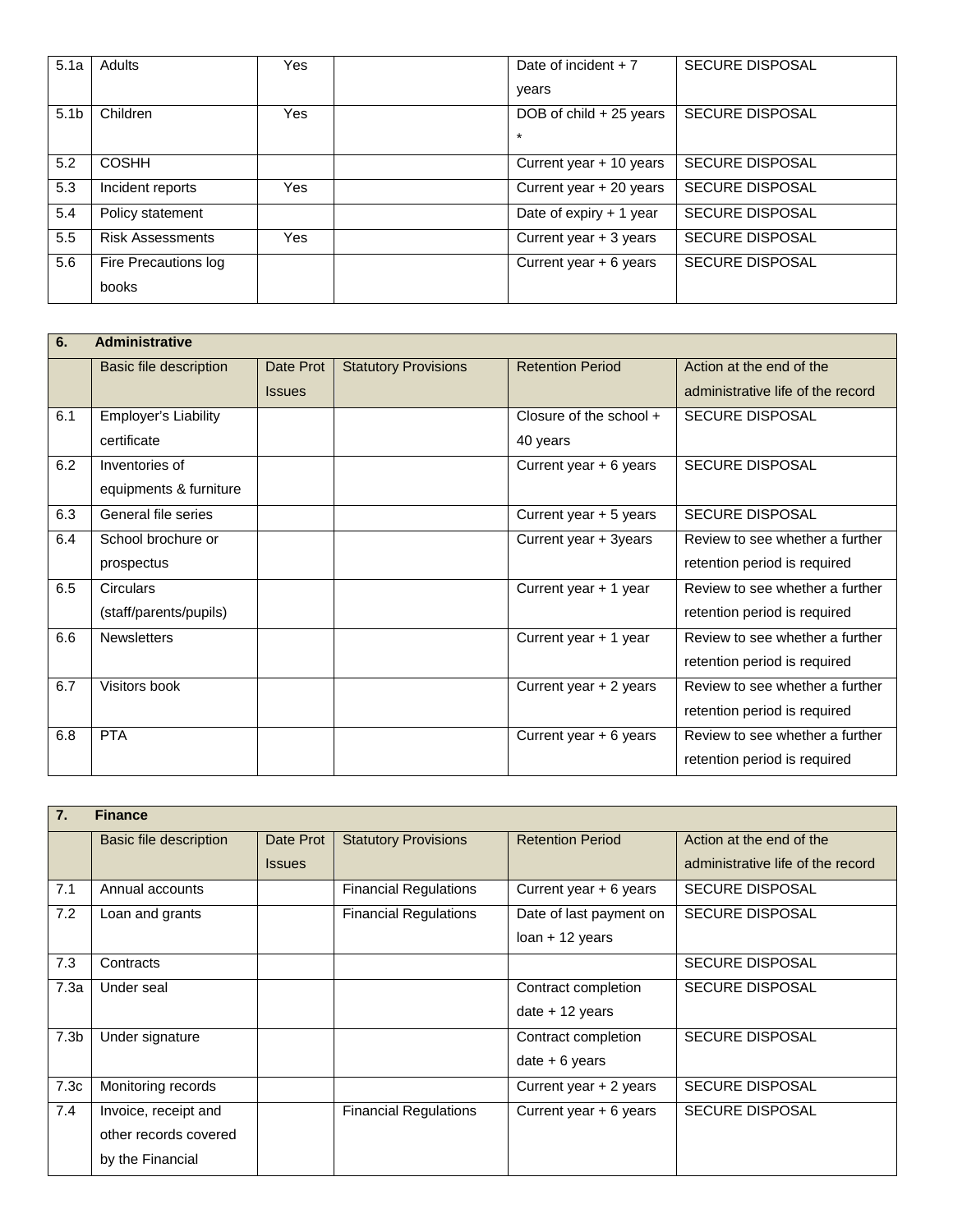| 5.1a             | <b>Adults</b>           | Yes | Date of incident $+7$     | <b>SECURE DISPOSAL</b> |
|------------------|-------------------------|-----|---------------------------|------------------------|
|                  |                         |     | vears                     |                        |
| 5.1 <sub>b</sub> | Children                | Yes | DOB of $child + 25$ years | <b>SECURE DISPOSAL</b> |
|                  |                         |     | $\star$                   |                        |
| 5.2              | <b>COSHH</b>            |     | Current year + 10 years   | <b>SECURE DISPOSAL</b> |
| 5.3              | Incident reports        | Yes | Current year + 20 years   | <b>SECURE DISPOSAL</b> |
| 5.4              | Policy statement        |     | Date of expiry + 1 year   | <b>SECURE DISPOSAL</b> |
| 5.5              | <b>Risk Assessments</b> | Yes | Current year + 3 years    | <b>SECURE DISPOSAL</b> |
| 5.6              | Fire Precautions log    |     | Current year $+ 6$ years  | <b>SECURE DISPOSAL</b> |
|                  | books                   |     |                           |                        |

| 6.  | <b>Administrative</b>  |               |                             |                          |                                   |  |  |
|-----|------------------------|---------------|-----------------------------|--------------------------|-----------------------------------|--|--|
|     | Basic file description | Date Prot     | <b>Statutory Provisions</b> | <b>Retention Period</b>  | Action at the end of the          |  |  |
|     |                        | <b>Issues</b> |                             |                          | administrative life of the record |  |  |
| 6.1 | Employer's Liability   |               |                             | Closure of the school +  | <b>SECURE DISPOSAL</b>            |  |  |
|     | certificate            |               |                             | 40 years                 |                                   |  |  |
| 6.2 | Inventories of         |               |                             | Current year $+ 6$ years | <b>SECURE DISPOSAL</b>            |  |  |
|     | equipments & furniture |               |                             |                          |                                   |  |  |
| 6.3 | General file series    |               |                             | Current year + 5 years   | <b>SECURE DISPOSAL</b>            |  |  |
| 6.4 | School brochure or     |               |                             | Current year + 3years    | Review to see whether a further   |  |  |
|     | prospectus             |               |                             |                          | retention period is required      |  |  |
| 6.5 | Circulars              |               |                             | Current year + 1 year    | Review to see whether a further   |  |  |
|     | (staff/parents/pupils) |               |                             |                          | retention period is required      |  |  |
| 6.6 | <b>Newsletters</b>     |               |                             | Current year + 1 year    | Review to see whether a further   |  |  |
|     |                        |               |                             |                          | retention period is required      |  |  |
| 6.7 | Visitors book          |               |                             | Current year + 2 years   | Review to see whether a further   |  |  |
|     |                        |               |                             |                          | retention period is required      |  |  |
| 6.8 | <b>PTA</b>             |               |                             | Current year + 6 years   | Review to see whether a further   |  |  |
|     |                        |               |                             |                          | retention period is required      |  |  |

| 7.               | <b>Finance</b>         |               |                              |                         |                                   |  |  |
|------------------|------------------------|---------------|------------------------------|-------------------------|-----------------------------------|--|--|
|                  | Basic file description | Date Prot     | <b>Statutory Provisions</b>  | <b>Retention Period</b> | Action at the end of the          |  |  |
|                  |                        | <b>Issues</b> |                              |                         | administrative life of the record |  |  |
| 7.1              | Annual accounts        |               | <b>Financial Regulations</b> | Current year + 6 years  | <b>SECURE DISPOSAL</b>            |  |  |
| 7.2              | Loan and grants        |               | <b>Financial Regulations</b> | Date of last payment on | <b>SECURE DISPOSAL</b>            |  |  |
|                  |                        |               |                              | $Ioan + 12$ years       |                                   |  |  |
| 7.3              | Contracts              |               |                              |                         | <b>SECURE DISPOSAL</b>            |  |  |
| 7.3a             | Under seal             |               |                              | Contract completion     | <b>SECURE DISPOSAL</b>            |  |  |
|                  |                        |               |                              | date $+12$ years        |                                   |  |  |
| 7.3 <sub>b</sub> | Under signature        |               |                              | Contract completion     | <b>SECURE DISPOSAL</b>            |  |  |
|                  |                        |               |                              | $date + 6 years$        |                                   |  |  |
| 7.3c             | Monitoring records     |               |                              | Current year + 2 years  | <b>SECURE DISPOSAL</b>            |  |  |
| 7.4              | Invoice, receipt and   |               | <b>Financial Regulations</b> | Current year + 6 years  | <b>SECURE DISPOSAL</b>            |  |  |
|                  | other records covered  |               |                              |                         |                                   |  |  |
|                  | by the Financial       |               |                              |                         |                                   |  |  |